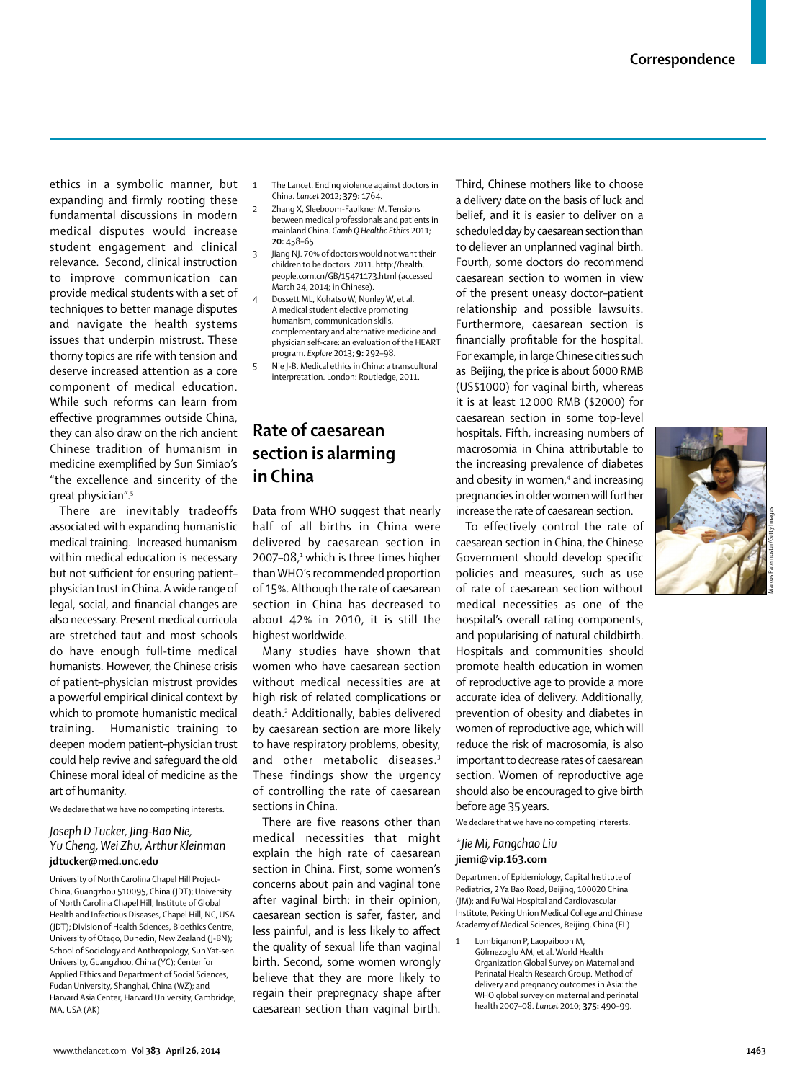ethics in a symbolic manner, but expanding and firmly rooting these fundamental discussions in modern medical disputes would increase student engagement and clinical relevance. Second, clinical instruction to improve communication can provide medical students with a set of techniques to better manage disputes and navigate the health systems issues that underpin mistrust. These thorny topics are rife with tension and deserve increased attention as a core component of medical education. While such reforms can learn from effective programmes outside China, they can also draw on the rich ancient Chinese tradition of humanism in medicine exemplified by Sun Simiao's "the excellence and sincerity of the great physician".5

There are inevitably tradeoffs associated with expanding humanistic medical training. Increased humanism within medical education is necessary but not sufficient for ensuring patientphysician trust in China. A wide range of legal, social, and financial changes are also necessary. Present medical curricula are stretched taut and most schools do have enough full-time medical humanists. However, the Chinese crisis of patient–physician mistrust provides a powerful empirical clinical context by which to promote humanistic medical training. Humanistic training to deepen modern patient–physician trust could help revive and safeguard the old Chinese moral ideal of medicine as the art of humanity.

We declare that we have no competing interests.

### *Joseph D Tucker, Jing-Bao Nie, Yu Cheng, Wei Zhu, Arthur Kleinman* **jdtucker@med.unc.edu**

University of North Carolina Chapel Hill Project-China, Guangzhou 510095, China (JDT); University of North Carolina Chapel Hill, Institute of Global Health and Infectious Diseases, Chapel Hill, NC, USA (JDT); Division of Health Sciences, Bioethics Centre, University of Otago, Dunedin, New Zealand (J-BN); School of Sociology and Anthropology, Sun Yat-sen University, Guangzhou, China (YC); Center for Applied Ethics and Department of Social Sciences, Fudan University, Shanghai, China (WZ); and Harvard Asia Center, Harvard University, Cambridge, MA, USA (AK)

- 1 The Lancet. Ending violence against doctors in China. *Lancet* 2012; **379:** 1764.
	- 2 Zhang X, Sleeboom-Faulkner M. Tensions between medical professionals and patients in mainland China. *Camb Q Healthc Ethics* 2011; **20:** 458–65.
- 3 Jiang NJ. 70% of doctors would not want their children to be doctors. 2011. http://health. people.com.cn/GB/15471173.html (accessed March 24, 2014; in Chinese).
	- Dossett ML, Kohatsu W, Nunley W, et al. A medical student elective promoting humanism, communication skills, complementary and alternative medicine and physician self-care: an evaluation of the HEART program. *Explore* 2013; **9:** 292–98.
- 5 Nie J-B. Medical ethics in China: a transcultural interpretation. London: Routledge, 2011.

## **Rate of caesarean section is alarming in China**

Data from WHO suggest that nearly half of all births in China were delivered by caesarean section in 2007–0 $8,1$  which is three times higher than WHO's recommended proportion of 15%. Although the rate of caesarean section in China has decreased to about 42% in 2010, it is still the highest worldwide.

Many studies have shown that women who have caesarean section without medical necessities are at high risk of related complications or death.2 Additionally, babies delivered by caesarean section are more likely to have respiratory problems, obesity, and other metabolic diseases.<sup>3</sup> These findings show the urgency of controlling the rate of caesarean sections in China.

There are five reasons other than medical necessities that might explain the high rate of caesarean section in China. First, some women's concerns about pain and vaginal tone after vaginal birth: in their opinion, caesarean section is safer, faster, and less painful, and is less likely to affect the quality of sexual life than vaginal birth. Second, some women wrongly believe that they are more likely to regain their prepregnacy shape after caesarean section than vaginal birth.

Third, Chinese mothers like to choose a delivery date on the basis of luck and belief, and it is easier to deliver on a scheduled day by caesarean section than to deliever an unplanned vaginal birth. Fourth, some doctors do recommend caesarean section to women in view of the present uneasy doctor–patient relationship and possible lawsuits. Furthermore, caesarean section is financially profitable for the hospital. For example, in large Chinese cities such as Beijing, the price is about 6000 RMB (US\$1000) for vaginal birth, whereas it is at least 12 000 RMB (\$2000) for caesarean section in some top-level hospitals. Fifth, increasing numbers of macrosomia in China attributable to the increasing prevalence of diabetes and obesity in women,<sup>4</sup> and increasing pregnancies in older women will further increase the rate of caesarean section.

To effectively control the rate of caesarean section in China, the Chinese Government should develop specific policies and measures, such as use of rate of caesarean section without medical necessities as one of the hospital's overall rating components, and popularising of natural childbirth. Hospitals and communities should promote health education in women of reproductive age to provide a more accurate idea of delivery. Additionally, prevention of obesity and diabetes in women of reproductive age, which will reduce the risk of macrosomia, is also important to decrease rates of caesarean section. Women of reproductive age should also be encouraged to give birth before age 35 years.

We declare that we have no competing interests.

### *\*Jie Mi, Fangchao Liu* **jiemi@vip.163.com**

Department of Epidemiology, Capital Institute of Pediatrics, 2 Ya Bao Road, Beijing, 100020 China (JM); and Fu Wai Hospital and Cardiovascular Institute, Peking Union Medical College and Chinese Academy of Medical Sciences, Beijing, China (FL)

Lumbiganon P, Laopaiboon M, Gülmezoglu AM, et al. World Health Organization Global Survey on Maternal and Perinatal Health Research Group. Method of delivery and pregnancy outcomes in Asia: the WHO global survey on maternal and perinatal health 2007–08. *Lancet* 2010; **375:** 490–99.